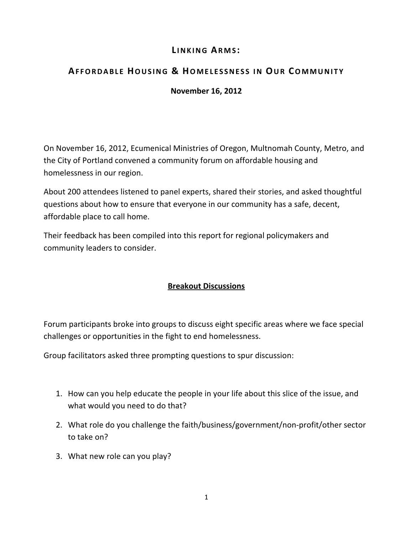# **L I N K I N G AR M S :**

# **AF F O R D A B L E HO U S I N G & HO M E L E S S N E S S I N OU R CO M M U N I T Y**

## **November 16, 2012**

On November 16, 2012, Ecumenical Ministries of Oregon, Multnomah County, Metro, and the City of Portland convened a community forum on affordable housing and homelessness in our region.

About 200 attendees listened to panel experts, shared their stories, and asked thoughtful questions about how to ensure that everyone in our community has a safe, decent, affordable place to call home.

Their feedback has been compiled into this report for regional policymakers and community leaders to consider.

## **Breakout Discussions**

Forum participants broke into groups to discuss eight specific areas where we face special challenges or opportunities in the fight to end homelessness.

Group facilitators asked three prompting questions to spur discussion:

- 1. How can you help educate the people in your life about this slice of the issue, and what would you need to do that?
- 2. What role do you challenge the faith/business/government/non-profit/other sector to take on?
- 3. What new role can you play?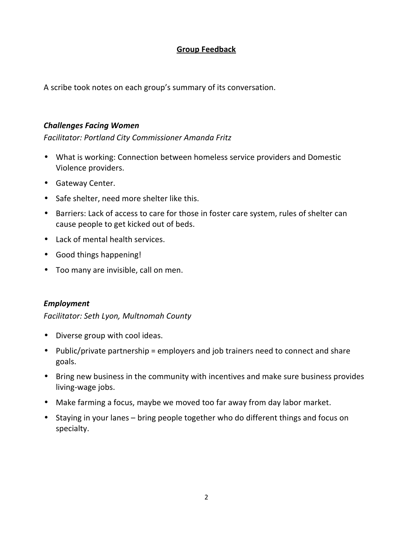## **Group Feedback**

A scribe took notes on each group's summary of its conversation.

#### *Challenges Facing Women*

*Facilitator: Portland City Commissioner Amanda Fritz* 

- What is working: Connection between homeless service providers and Domestic Violence providers.
- Gateway Center.
- Safe shelter, need more shelter like this.
- Barriers: Lack of access to care for those in foster care system, rules of shelter can cause people to get kicked out of beds.
- Lack of mental health services.
- Good things happening!
- Too many are invisible, call on men.

#### *Employment*

*Facilitator: Seth Lyon, Multnomah County* 

- Diverse group with cool ideas.
- Public/private partnership = employers and job trainers need to connect and share goals.
- Bring new business in the community with incentives and make sure business provides living-wage jobs.
- Make farming a focus, maybe we moved too far away from day labor market.
- Staying in your lanes bring people together who do different things and focus on specialty.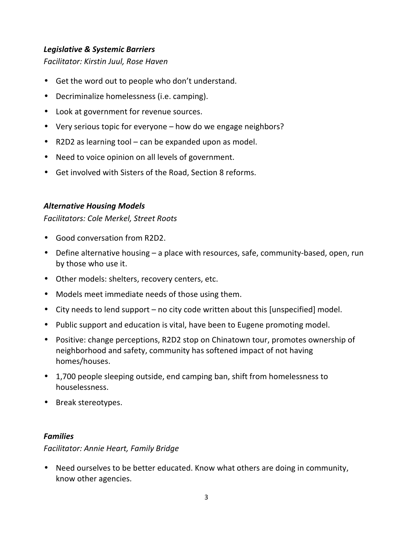### *Legislative & Systemic Barriers*

*Facilitator: Kirstin Juul, Rose Haven* 

- Get the word out to people who don't understand.
- Decriminalize homelessness (i.e. camping).
- Look at government for revenue sources.
- Very serious topic for everyone how do we engage neighbors?
- R2D2 as learning tool can be expanded upon as model.
- Need to voice opinion on all levels of government.
- Get involved with Sisters of the Road, Section 8 reforms.

## *Alternative Housing Models*

*Facilitators: Cole Merkel, Street Roots* 

- Good conversation from R2D2.
- Define alternative housing a place with resources, safe, community-based, open, run by those who use it.
- Other models: shelters, recovery centers, etc.
- Models meet immediate needs of those using them.
- City needs to lend support no city code written about this [unspecified] model.
- Public support and education is vital, have been to Eugene promoting model.
- Positive: change perceptions, R2D2 stop on Chinatown tour, promotes ownership of neighborhood and safety, community has softened impact of not having homes/houses.
- 1,700 people sleeping outside, end camping ban, shift from homelessness to houselessness.
- Break stereotypes.

### *Families*

### *Facilitator: Annie Heart, Family Bridge*

• Need ourselves to be better educated. Know what others are doing in community, know other agencies.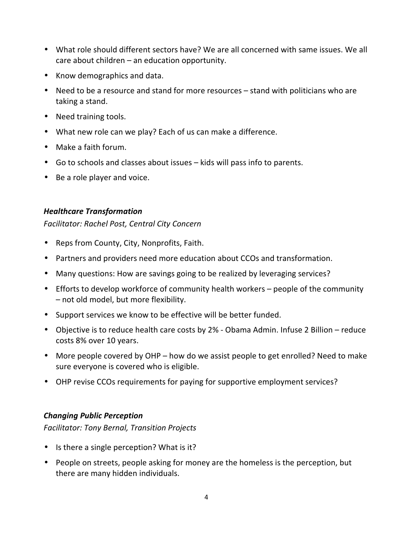- What role should different sectors have? We are all concerned with same issues. We all care about children – an education opportunity.
- Know demographics and data.
- Need to be a resource and stand for more resources stand with politicians who are taking a stand.
- Need training tools.
- What new role can we play? Each of us can make a difference.
- Make a faith forum.
- Go to schools and classes about issues kids will pass info to parents.
- Be a role player and voice.

## *Healthcare Transformation*

*Facilitator: Rachel Post, Central City Concern* 

- Reps from County, City, Nonprofits, Faith.
- Partners and providers need more education about CCOs and transformation.
- Many questions: How are savings going to be realized by leveraging services?
- Efforts to develop workforce of community health workers people of the community – not old model, but more flexibility.
- Support services we know to be effective will be better funded.
- Objective is to reduce health care costs by 2% Obama Admin. Infuse 2 Billion reduce costs 8% over 10 years.
- More people covered by OHP how do we assist people to get enrolled? Need to make sure everyone is covered who is eligible.
- OHP revise CCOs requirements for paying for supportive employment services?

## *Changing Public Perception*

*Facilitator: Tony Bernal, Transition Projects* 

- Is there a single perception? What is it?
- People on streets, people asking for money are the homeless is the perception, but there are many hidden individuals.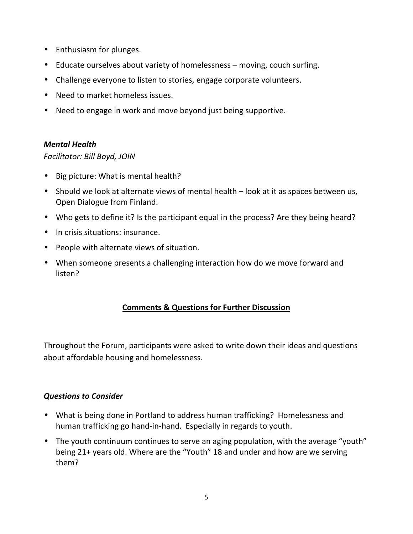- Enthusiasm for plunges.
- Educate ourselves about variety of homelessness moving, couch surfing.
- Challenge everyone to listen to stories, engage corporate volunteers.
- Need to market homeless issues.
- Need to engage in work and move beyond just being supportive.

#### *Mental Health*

### *Facilitator: Bill Boyd, JOIN*

- Big picture: What is mental health?
- Should we look at alternate views of mental health look at it as spaces between us, Open Dialogue from Finland.
- Who gets to define it? Is the participant equal in the process? Are they being heard?
- In crisis situations: insurance.
- People with alternate views of situation.
- When someone presents a challenging interaction how do we move forward and listen?

### **Comments & Questions for Further Discussion**

Throughout the Forum, participants were asked to write down their ideas and questions about affordable housing and homelessness.

### *Questions to Consider*

- What is being done in Portland to address human trafficking? Homelessness and human trafficking go hand-in-hand. Especially in regards to youth.
- The youth continuum continues to serve an aging population, with the average "youth" being 21+ years old. Where are the "Youth" 18 and under and how are we serving them?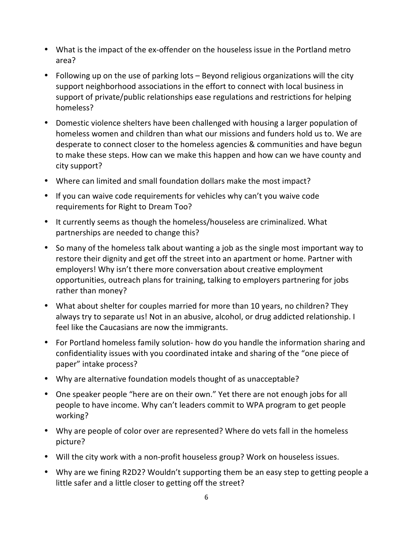- What is the impact of the ex-offender on the houseless issue in the Portland metro area?
- Following up on the use of parking lots Beyond religious organizations will the city support neighborhood associations in the effort to connect with local business in support of private/public relationships ease regulations and restrictions for helping homeless?
- Domestic violence shelters have been challenged with housing a larger population of homeless women and children than what our missions and funders hold us to. We are desperate to connect closer to the homeless agencies & communities and have begun to make these steps. How can we make this happen and how can we have county and city support?
- Where can limited and small foundation dollars make the most impact?
- If you can waive code requirements for vehicles why can't you waive code requirements for Right to Dream Too?
- It currently seems as though the homeless/houseless are criminalized. What partnerships are needed to change this?
- So many of the homeless talk about wanting a job as the single most important way to restore their dignity and get off the street into an apartment or home. Partner with employers! Why isn't there more conversation about creative employment opportunities, outreach plans for training, talking to employers partnering for jobs rather than money?
- What about shelter for couples married for more than 10 years, no children? They always try to separate us! Not in an abusive, alcohol, or drug addicted relationship. I feel like the Caucasians are now the immigrants.
- For Portland homeless family solution- how do you handle the information sharing and confidentiality issues with you coordinated intake and sharing of the "one piece of paper" intake process?
- Why are alternative foundation models thought of as unacceptable?
- One speaker people "here are on their own." Yet there are not enough jobs for all people to have income. Why can't leaders commit to WPA program to get people working?
- Why are people of color over are represented? Where do vets fall in the homeless picture?
- Will the city work with a non-profit houseless group? Work on houseless issues.
- Why are we fining R2D2? Wouldn't supporting them be an easy step to getting people a little safer and a little closer to getting off the street?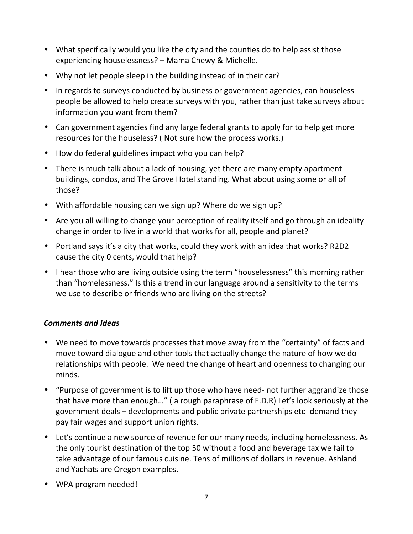- What specifically would you like the city and the counties do to help assist those experiencing houselessness? – Mama Chewy & Michelle.
- Why not let people sleep in the building instead of in their car?
- In regards to surveys conducted by business or government agencies, can houseless people be allowed to help create surveys with you, rather than just take surveys about information you want from them?
- Can government agencies find any large federal grants to apply for to help get more resources for the houseless? ( Not sure how the process works.)
- How do federal guidelines impact who you can help?
- There is much talk about a lack of housing, yet there are many empty apartment buildings, condos, and The Grove Hotel standing. What about using some or all of those?
- With affordable housing can we sign up? Where do we sign up?
- Are you all willing to change your perception of reality itself and go through an ideality change in order to live in a world that works for all, people and planet?
- Portland says it's a city that works, could they work with an idea that works? R2D2 cause the city 0 cents, would that help?
- I hear those who are living outside using the term "houselessness" this morning rather than "homelessness." Is this a trend in our language around a sensitivity to the terms we use to describe or friends who are living on the streets?

## *Comments and Ideas*

- We need to move towards processes that move away from the "certainty" of facts and move toward dialogue and other tools that actually change the nature of how we do relationships with people. We need the change of heart and openness to changing our minds.
- "Purpose of government is to lift up those who have need- not further aggrandize those that have more than enough…" ( a rough paraphrase of F.D.R) Let's look seriously at the government deals – developments and public private partnerships etc- demand they pay fair wages and support union rights.
- Let's continue a new source of revenue for our many needs, including homelessness. As the only tourist destination of the top 50 without a food and beverage tax we fail to take advantage of our famous cuisine. Tens of millions of dollars in revenue. Ashland and Yachats are Oregon examples.
- WPA program needed!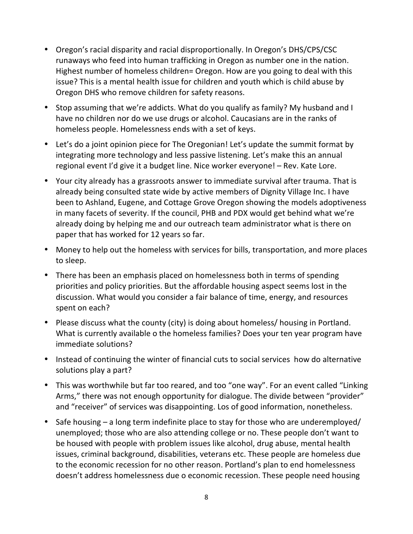- Oregon's racial disparity and racial disproportionally. In Oregon's DHS/CPS/CSC runaways who feed into human trafficking in Oregon as number one in the nation. Highest number of homeless children= Oregon. How are you going to deal with this issue? This is a mental health issue for children and youth which is child abuse by Oregon DHS who remove children for safety reasons.
- Stop assuming that we're addicts. What do you qualify as family? My husband and I have no children nor do we use drugs or alcohol. Caucasians are in the ranks of homeless people. Homelessness ends with a set of keys.
- Let's do a joint opinion piece for The Oregonian! Let's update the summit format by integrating more technology and less passive listening. Let's make this an annual regional event I'd give it a budget line. Nice worker everyone! – Rev. Kate Lore.
- Your city already has a grassroots answer to immediate survival after trauma. That is already being consulted state wide by active members of Dignity Village Inc. I have been to Ashland, Eugene, and Cottage Grove Oregon showing the models adoptiveness in many facets of severity. If the council, PHB and PDX would get behind what we're already doing by helping me and our outreach team administrator what is there on paper that has worked for 12 years so far.
- Money to help out the homeless with services for bills, transportation, and more places to sleep.
- There has been an emphasis placed on homelessness both in terms of spending priorities and policy priorities. But the affordable housing aspect seems lost in the discussion. What would you consider a fair balance of time, energy, and resources spent on each?
- Please discuss what the county (city) is doing about homeless/ housing in Portland. What is currently available o the homeless families? Does your ten year program have immediate solutions?
- Instead of continuing the winter of financial cuts to social services how do alternative solutions play a part?
- This was worthwhile but far too reared, and too "one way". For an event called "Linking Arms," there was not enough opportunity for dialogue. The divide between "provider" and "receiver" of services was disappointing. Los of good information, nonetheless.
- Safe housing a long term indefinite place to stay for those who are underemployed/ unemployed; those who are also attending college or no. These people don't want to be housed with people with problem issues like alcohol, drug abuse, mental health issues, criminal background, disabilities, veterans etc. These people are homeless due to the economic recession for no other reason. Portland's plan to end homelessness doesn't address homelessness due o economic recession. These people need housing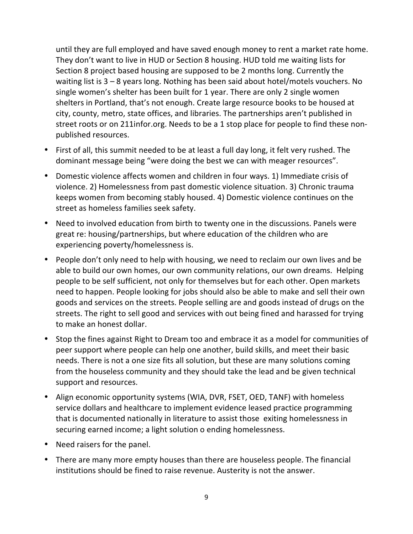until they are full employed and have saved enough money to rent a market rate home. They don't want to live in HUD or Section 8 housing. HUD told me waiting lists for Section 8 project based housing are supposed to be 2 months long. Currently the waiting list is 3 – 8 years long. Nothing has been said about hotel/motels vouchers. No single women's shelter has been built for 1 year. There are only 2 single women shelters in Portland, that's not enough. Create large resource books to be housed at city, county, metro, state offices, and libraries. The partnerships aren't published in street roots or on 211infor.org. Needs to be a 1 stop place for people to find these nonpublished resources.

- First of all, this summit needed to be at least a full day long, it felt very rushed. The dominant message being "were doing the best we can with meager resources".
- Domestic violence affects women and children in four ways. 1) Immediate crisis of violence. 2) Homelessness from past domestic violence situation. 3) Chronic trauma keeps women from becoming stably housed. 4) Domestic violence continues on the street as homeless families seek safety.
- Need to involved education from birth to twenty one in the discussions. Panels were great re: housing/partnerships, but where education of the children who are experiencing poverty/homelessness is.
- People don't only need to help with housing, we need to reclaim our own lives and be able to build our own homes, our own community relations, our own dreams. Helping people to be self sufficient, not only for themselves but for each other. Open markets need to happen. People looking for jobs should also be able to make and sell their own goods and services on the streets. People selling are and goods instead of drugs on the streets. The right to sell good and services with out being fined and harassed for trying to make an honest dollar.
- Stop the fines against Right to Dream too and embrace it as a model for communities of peer support where people can help one another, build skills, and meet their basic needs. There is not a one size fits all solution, but these are many solutions coming from the houseless community and they should take the lead and be given technical support and resources.
- Align economic opportunity systems (WIA, DVR, FSET, OED, TANF) with homeless service dollars and healthcare to implement evidence leased practice programming that is documented nationally in literature to assist those exiting homelessness in securing earned income; a light solution o ending homelessness.
- Need raisers for the panel.
- There are many more empty houses than there are houseless people. The financial institutions should be fined to raise revenue. Austerity is not the answer.